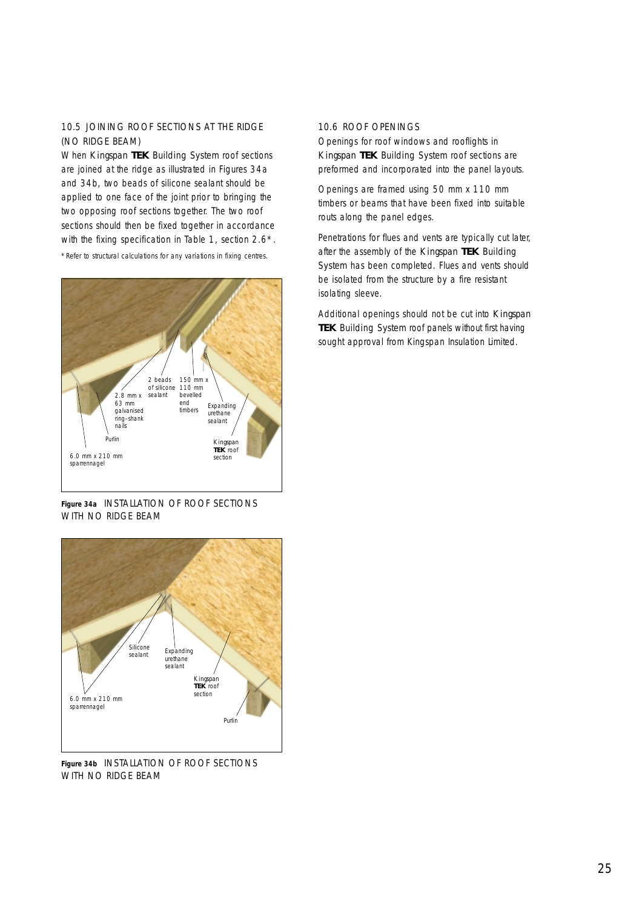## 10.5 JOINING ROOF SECTIONS AT THE RIDGE (NO RIDGE BEAM)

When *Kingspan* **TEK** Building System roof sections are joined at the ridge as illustrated in Figures 34a and 34b, two beads of silicone sealant should be applied to one face of the joint prior to bringing the two opposing roof sections together. The two roof sections should then be fixed together in accordance with the fixing specification in Table 1, section 2.6<sup>\*</sup>.

\*Refer to structural calculations for any variations in fixing centres.



**Figure 34a** INSTALLATION OF ROOF SECTIONS WITH NO RIDGE BEAM



**Figure 34b** INSTALLATION OF ROOF SECTIONS WITH NO RIDGE BEAM

## 10.6 ROOF OPENINGS

Openings for roof windows and rooflights in *Kingspan* **TEK** Building System roof sections are preformed and incorporated into the panel layouts.

Openings are framed using 50 mm x 110 mm timbers or beams that have been fixed into suitable routs along the panel edges.

Penetrations for flues and vents are typically cut later, after the assembly of the *Kingspan* **TEK** Building System has been completed. Flues and vents should be isolated from the structure by a fire resistant isolating sleeve.

Additional openings should not be cut into *Kingspan* **TEK** Building System roof panels without first having sought approval from Kingspan Insulation Limited.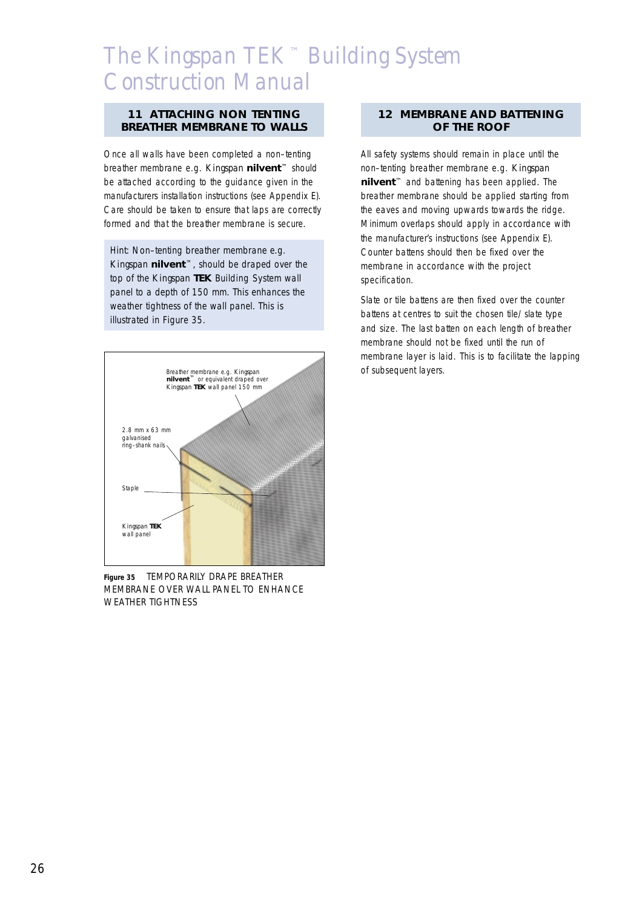### **11 ATTACHING NON TENTING BREATHER MEMBRANE TO WALLS**

Once all walls have been completed a non–tenting breather membrane e.g. *Kingspan* **nil***vent*™ should be attached according to the guidance given in the manufacturers installation instructions (see Appendix E). Care should be taken to ensure that laps are correctly formed and that the breather membrane is secure.

Hint: Non–tenting breather membrane e.g. *Kingspan* **nil***vent*™, should be draped over the top of the *Kingspan* **TEK** Building System wall panel to a depth of 150 mm. This enhances the weather tightness of the wall panel. This is illustrated in Figure 35.



**Figure 35** TEMPORARILY DRAPE BREATHER MEMBRANE OVER WALL PANEL TO ENHANCE WEATHER TIGHTNESS

## **12 MEMBRANE AND BATTENING OF THE ROOF**

All safety systems should remain in place until the non–tenting breather membrane e.g. *Kingspan* **nil***vent*™ and battening has been applied. The breather membrane should be applied starting from the eaves and moving upwards towards the ridge. Minimum overlaps should apply in accordance with the manufacturer's instructions (see Appendix E). Counter battens should then be fixed over the membrane in accordance with the project specification.

Slate or tile battens are then fixed over the counter battens at centres to suit the chosen tile/slate type and size. The last batten on each length of breather membrane should not be fixed until the run of membrane layer is laid. This is to facilitate the lapping of subsequent layers.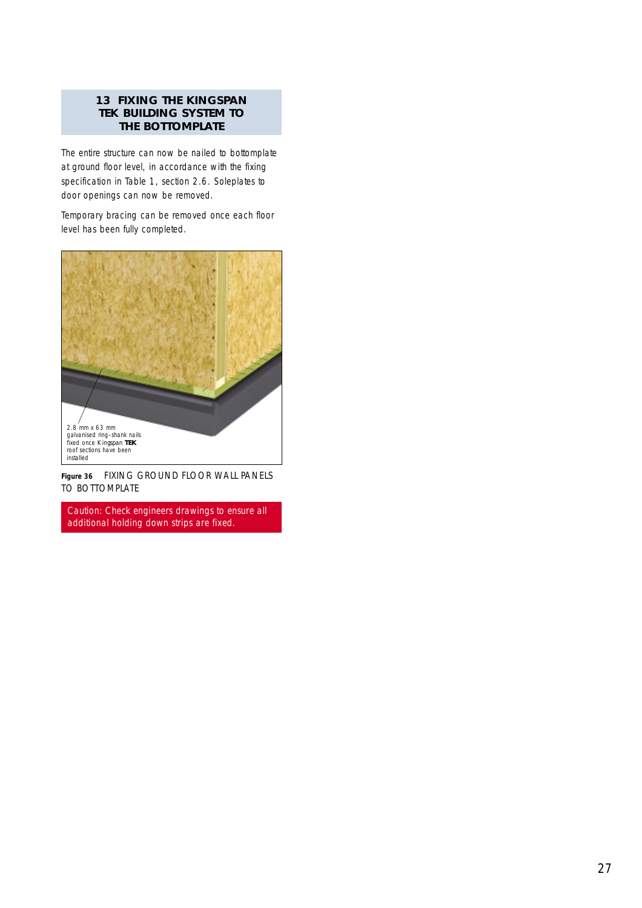## **13 FIXING THE KINGSPAN TEK BUILDING SYSTEM TO THE BOTTOMPLATE**

The entire structure can now be nailed to bottomplate at ground floor level, in accordance with the fixing specification in Table 1, section 2.6. Soleplates to door openings can now be removed.

Temporary bracing can be removed once each floor level has been fully completed.



**Figure 36** FIXING GROUND FLOOR WALL PANELS TO BOTTOMPLATE

Caution: Check engineers drawings to ensure all additional holding down strips are fixed.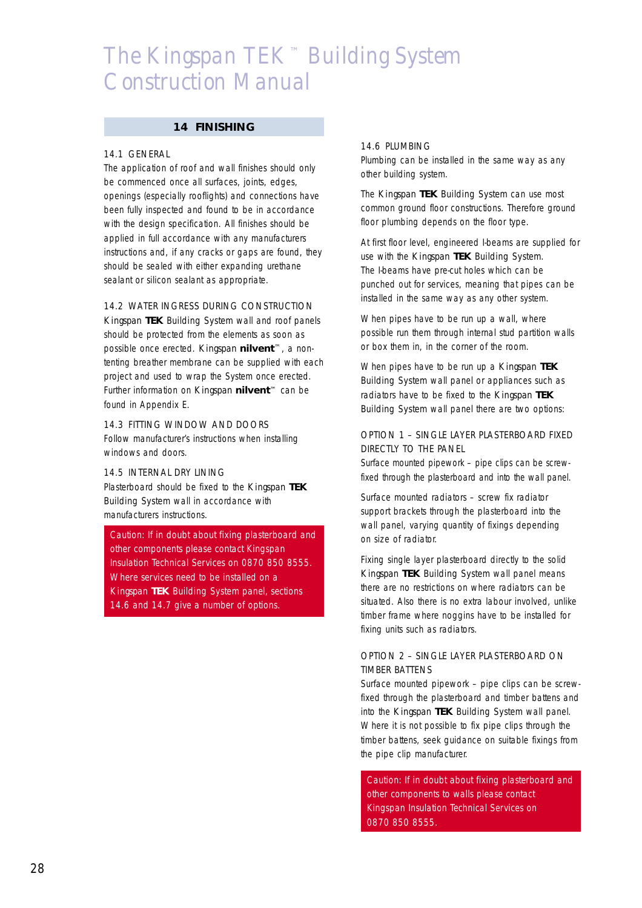#### **14 FINISHING**

#### 14.1 GENERAL

The application of roof and wall finishes should only be commenced once all surfaces, joints, edges, openings (especially rooflights) and connections have been fully inspected and found to be in accordance with the design specification. All finishes should be applied in full accordance with any manufacturers instructions and, if any cracks or gaps are found, they should be sealed with either expanding urethane sealant or silicon sealant as appropriate.

#### 14.2 WATER INGRESS DURING CONSTRUCTION

*Kingspan* **TEK** Building System wall and roof panels should be protected from the elements as soon as possible once erected. *Kingspan* **nil***vent*™, a nontenting breather membrane can be supplied with each project and used to wrap the System once erected. Further information on *Kingspan* **nil***vent*™ can be found in Appendix E.

## 14.3 FITTING WINDOW AND DOORS

Follow manufacturer's instructions when installing windows and doors.

#### 14.5 INTERNAL DRY LINING

Plasterboard should be fixed to the *Kingspan* **TEK** Building System wall in accordance with manufacturers instructions.

Caution: If in doubt about fixing plasterboard and other components please contact Kingspan Insulation Technical Services on 0870 850 8555. Where services need to be installed on a *Kingspan* **TEK** Building System panel, sections 14.6 and 14.7 give a number of options.

#### 14.6 PLUMBING

Plumbing can be installed in the same way as any other building system.

The *Kingspan* **TEK** Building System can use most common ground floor constructions. Therefore ground floor plumbing depends on the floor type.

At first floor level, engineered I-beams are supplied for use with the *Kingspan* **TEK** Building System. The I-beams have pre-cut holes which can be punched out for services, meaning that pipes can be installed in the same way as any other system.

When pipes have to be run up a wall, where possible run them through internal stud partition walls or box them in, in the corner of the room.

When pipes have to be run up a *Kingspan* **TEK** Building System wall panel or appliances such as radiators have to be fixed to the *Kingspan* **TEK** Building System wall panel there are two options:

## OPTION 1 – SINGLE LAYER PLASTERBOARD FIXED DIRECTLY TO THE PANEL

Surface mounted pipework – pipe clips can be screwfixed through the plasterboard and into the wall panel.

Surface mounted radiators – screw fix radiator support brackets through the plasterboard into the wall panel, varying quantity of fixings depending on size of radiator.

Fixing single layer plasterboard directly to the solid *Kingspan* **TEK** Building System wall panel means there are no restrictions on where radiators can be situated. Also there is no extra labour involved, unlike timber frame where noggins have to be installed for fixing units such as radiators.

## OPTION 2 – SINGLE LAYER PLASTERBOARD ON TIMBER BATTENS

Surface mounted pipework – pipe clips can be screwfixed through the plasterboard and timber battens and into the *Kingspan* **TEK** Building System wall panel. Where it is not possible to fix pipe clips through the timber battens, seek guidance on suitable fixings from the pipe clip manufacturer.

Caution: If in doubt about fixing plasterboard and other components to walls please contact Kingspan Insulation Technical Services on 0870 850 8555.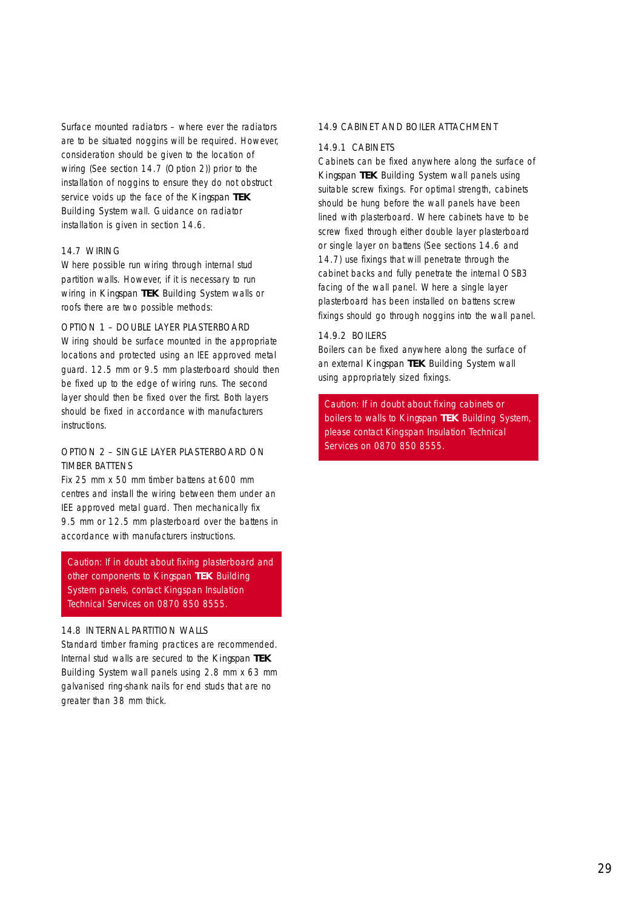Surface mounted radiators – where ever the radiators are to be situated noggins will be required. However, consideration should be given to the location of wiring (See section 14.7 (Option 2)) prior to the installation of noggins to ensure they do not obstruct service voids up the face of the *Kingspan* **TEK** Building System wall. Guidance on radiator installation is given in section 14.6.

#### 14.7 WIRING

Where possible run wiring through internal stud partition walls. However, if it is necessary to run wiring in *Kingspan* **TEK** Building System walls or roofs there are two possible methods:

## OPTION 1 – DOUBLE LAYER PLASTERBOARD

Wiring should be surface mounted in the appropriate locations and protected using an IEE approved metal guard. 12.5 mm or 9.5 mm plasterboard should then be fixed up to the edge of wiring runs. The second layer should then be fixed over the first. Both layers should be fixed in accordance with manufacturers instructions.

## OPTION 2 – SINGLE LAYER PLASTERBOARD ON TIMBER BATTENS

Fix 25 mm x 50 mm timber battens at 600 mm centres and install the wiring between them under an IEE approved metal guard. Then mechanically fix 9.5 mm or 12.5 mm plasterboard over the battens in accordance with manufacturers instructions.

Caution: If in doubt about fixing plasterboard and other components to *Kingspan* **TEK** Building System panels, contact Kingspan Insulation Technical Services on 0870 850 8555.

## 14.8 INTERNAL PARTITION WALLS

Standard timber framing practices are recommended. Internal stud walls are secured to the *Kingspan* **TEK** Building System wall panels using 2.8 mm x 63 mm galvanised ring-shank nails for end studs that are no greater than 38 mm thick.

#### 14.9 CABINET AND BOILER ATTACHMENT

#### 14.9.1 CABINETS

Cabinets can be fixed anywhere along the surface of *Kingspan* **TEK** Building System wall panels using suitable screw fixings. For optimal strength, cabinets should be hung before the wall panels have been lined with plasterboard. Where cabinets have to be screw fixed through either double layer plasterboard or single layer on battens (See sections 14.6 and 14.7) use fixings that will penetrate through the cabinet backs and fully penetrate the internal OSB3 facing of the wall panel. Where a single layer plasterboard has been installed on battens screw fixings should go through noggins into the wall panel.

#### 14.9.2 BOILERS

Boilers can be fixed anywhere along the surface of an external *Kingspan* **TEK** Building System wall using appropriately sized fixings.

Caution: If in doubt about fixing cabinets or boilers to walls to *Kingspan* **TEK** Building System, please contact Kingspan Insulation Technical Services on 0870 850 8555.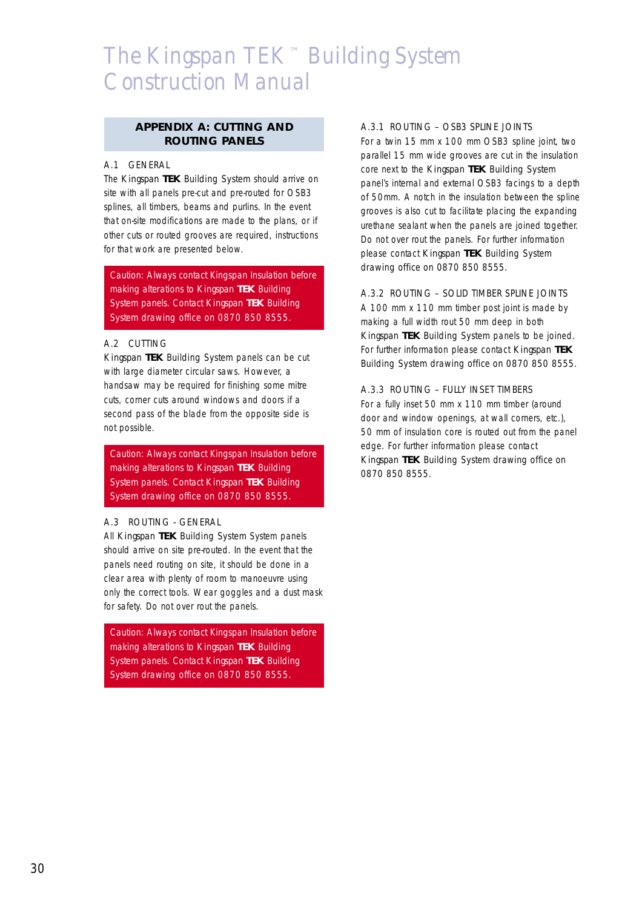## **APPENDIX A: CUTTING AND ROUTING PANELS**

## A.1 GENERAL

The *Kingspan* **TEK** Building System should arrive on site with all panels pre-cut and pre-routed for OSB3 splines, all timbers, beams and purlins. In the event that on-site modifications are made to the plans, or if other cuts or routed grooves are required, instructions for that work are presented below.

Caution: Always contact Kingspan Insulation before making alterations to *Kingspan* **TEK** Building System panels. Contact *Kingspan* **TEK** Building System drawing office on 0870 850 8555.

## A.2 CUTTING

*Kingspan* **TEK** Building System panels can be cut with large diameter circular saws. However, a handsaw may be required for finishing some mitre cuts, corner cuts around windows and doors if a second pass of the blade from the opposite side is not possible.

Caution: Always contact Kingspan Insulation before making alterations to *Kingspan* **TEK** Building System panels. Contact *Kingspan* **TEK** Building System drawing office on 0870 850 8555.

## A.3 ROUTING - GENERAL

All *Kingspan* **TEK** Building System System panels should arrive on site pre-routed. In the event that the panels need routing on site, it should be done in a clear area with plenty of room to manoeuvre using only the correct tools. Wear goggles and a dust mask for safety. Do not over rout the panels.

Caution: Always contact Kingspan Insulation before making alterations to *Kingspan* **TEK** Building System panels. Contact *Kingspan* **TEK** Building System drawing office on 0870 850 8555.

## A.3.1 ROUTING – OSB3 SPLINE JOINTS

For a twin 15 mm x 100 mm OSB3 spline joint, two parallel 15 mm wide grooves are cut in the insulation core next to the *Kingspan* **TEK** Building System panel's internal and external OSB3 facings to a depth of 50mm. A notch in the insulation between the spline grooves is also cut to facilitate placing the expanding urethane sealant when the panels are joined together. Do not over rout the panels. For further information please contact *Kingspan* **TEK** Building System drawing office on 0870 850 8555.

## A.3.2 ROUTING – SOLID TIMBER SPLINE JOINTS

A 100 mm x 110 mm timber post joint is made by making a full width rout 50 mm deep in both *Kingspan* **TEK** Building System panels to be joined. For further information please contact *Kingspan* **TEK** Building System drawing office on 0870 850 8555.

## A.3.3 ROUTING – FULLY INSET TIMBERS

For a fully inset 50 mm x 110 mm timber (around door and window openings, at wall corners, etc.), 50 mm of insulation core is routed out from the panel edge. For further information please contact *Kingspan* **TEK** Building System drawing office on 0870 850 8555.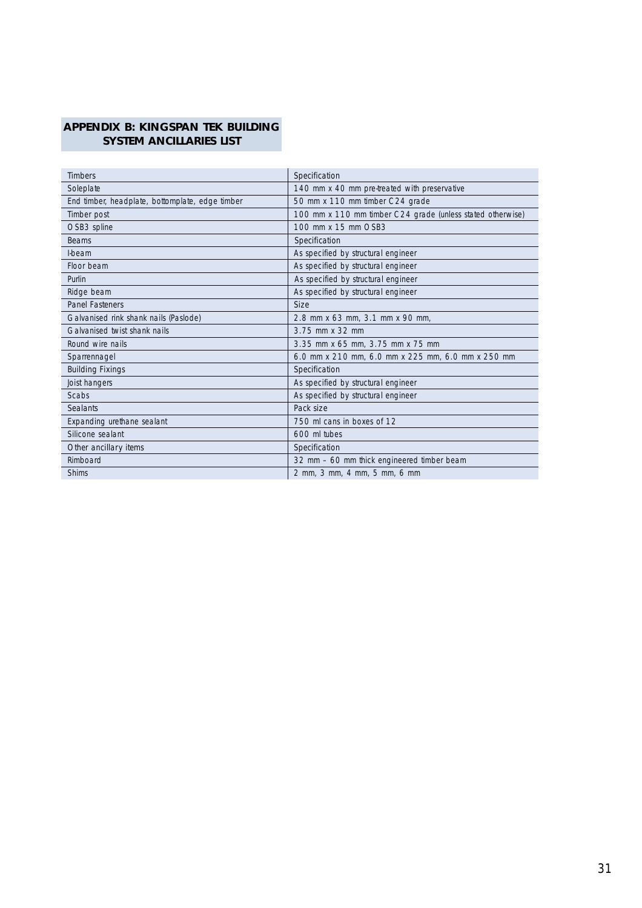## **APPENDIX B: KINGSPAN TEK BUILDING SYSTEM ANCILLARIES LIST**

| <b>Timbers</b>                                  | Specification                                              |
|-------------------------------------------------|------------------------------------------------------------|
| Soleplate                                       | 140 mm x 40 mm pre-treated with preservative               |
| End timber, headplate, bottomplate, edge timber | 50 mm x 110 mm timber C24 grade                            |
| Timber post                                     | 100 mm x 110 mm timber C24 grade (unless stated otherwise) |
| OSB3 spline                                     | 100 mm x 15 mm OSB3                                        |
| <b>Beams</b>                                    | Specification                                              |
| <b>I-beam</b>                                   | As specified by structural engineer                        |
| Floor beam                                      | As specified by structural engineer                        |
| Purlin                                          | As specified by structural engineer                        |
| Ridge beam                                      | As specified by structural engineer                        |
| <b>Panel Fasteners</b>                          | <b>Size</b>                                                |
| Galvanised rink shank nails (Paslode)           | 2.8 mm x 63 mm, 3.1 mm x 90 mm,                            |
| Galvanised twist shank nails                    | 3.75 mm x 32 mm                                            |
| Round wire nails                                | 3.35 mm x 65 mm, 3.75 mm x 75 mm                           |
| Sparrennagel                                    | 6.0 mm x 210 mm, 6.0 mm x 225 mm, 6.0 mm x 250 mm          |
| <b>Building Fixings</b>                         | Specification                                              |
| Joist hangers                                   | As specified by structural engineer                        |
| Scabs                                           | As specified by structural engineer                        |
| <b>Sealants</b>                                 | Pack size                                                  |
| Expanding urethane sealant                      | 750 ml cans in boxes of 12                                 |
| Silicone sealant                                | 600 ml tubes                                               |
| Other ancillary items                           | Specification                                              |
| Rimboard                                        | 32 mm - 60 mm thick engineered timber beam                 |
| <b>Shims</b>                                    | 2 mm, 3 mm, 4 mm, 5 mm, 6 mm                               |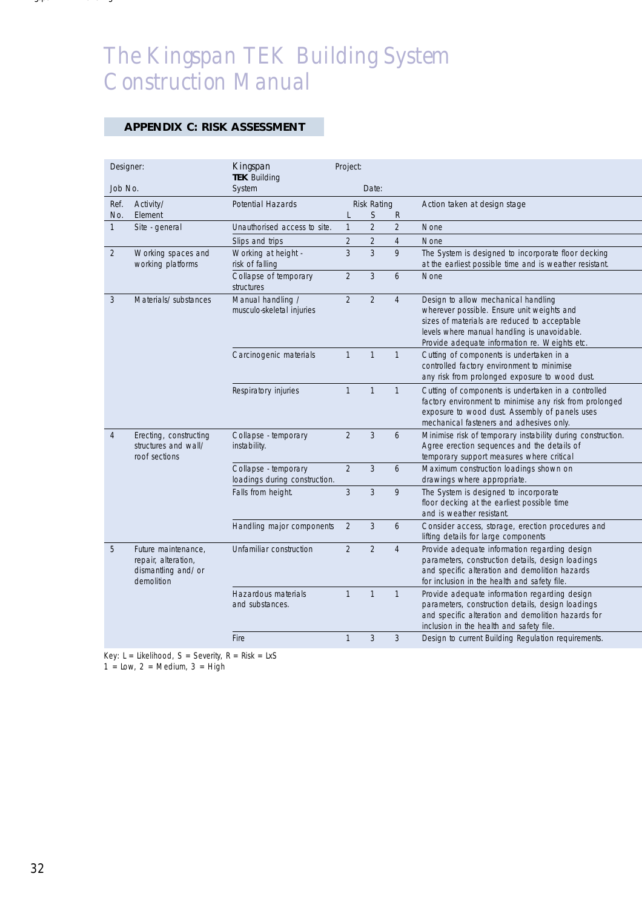## **APPENDIX C: RISK ASSESSMENT**

| Designer:      |                                                                                | Kingspan<br><b>TEK Building</b>                       | Project:       |                    |                |                                                                                                                                                                                                                                    |
|----------------|--------------------------------------------------------------------------------|-------------------------------------------------------|----------------|--------------------|----------------|------------------------------------------------------------------------------------------------------------------------------------------------------------------------------------------------------------------------------------|
| Job No.        |                                                                                | System                                                |                | Date:              |                |                                                                                                                                                                                                                                    |
| Ref.           | Activity/                                                                      | <b>Potential Hazards</b>                              |                | <b>Risk Rating</b> |                | Action taken at design stage                                                                                                                                                                                                       |
| No.            | Element                                                                        |                                                       | L              | S                  | R              |                                                                                                                                                                                                                                    |
| $\mathbf{1}$   | Site - general                                                                 | Unauthorised access to site.                          | $\mathbf{1}$   | $\overline{2}$     | $\overline{2}$ | None                                                                                                                                                                                                                               |
|                |                                                                                | Slips and trips                                       | $\overline{2}$ | 2                  | $\overline{4}$ | None                                                                                                                                                                                                                               |
| $\overline{2}$ | Working spaces and<br>working platforms                                        | Working at height -<br>risk of falling                | 3              | 3                  | 9              | The System is designed to incorporate floor decking<br>at the earliest possible time and is weather resistant.                                                                                                                     |
|                |                                                                                | Collapse of temporary<br>structures                   | $\overline{2}$ | 3                  | 6              | <b>None</b>                                                                                                                                                                                                                        |
| 3              | Materials/substances                                                           | Manual handling /<br>musculo-skeletal injuries        | $\overline{2}$ | $\overline{2}$     | $\overline{4}$ | Design to allow mechanical handling<br>wherever possible. Ensure unit weights and<br>sizes of materials are reduced to acceptable<br>levels where manual handling is unavoidable.<br>Provide adequate information re. Weights etc. |
|                |                                                                                | Carcinogenic materials                                | $\mathbf{1}$   | $\mathbf{1}$       | $\mathbf{1}$   | Cutting of components is undertaken in a<br>controlled factory environment to minimise<br>any risk from prolonged exposure to wood dust.                                                                                           |
|                |                                                                                | Respiratory injuries                                  | $\mathbf{1}$   | $\mathbf{1}$       | $\mathbf{1}$   | Cutting of components is undertaken in a controlled<br>factory environment to minimise any risk from prolonged<br>exposure to wood dust. Assembly of panels uses<br>mechanical fasteners and adhesives only.                       |
| 4              | Erecting, constructing<br>structures and wall/<br>roof sections                | Collapse - temporary<br>instability.                  | $\overline{2}$ | 3                  | 6              | Minimise risk of temporary instability during construction.<br>Agree erection sequences and the details of<br>temporary support measures where critical                                                                            |
|                |                                                                                | Collapse - temporary<br>loadings during construction. | $\overline{2}$ | 3                  | 6              | Maximum construction loadings shown on<br>drawings where appropriate.                                                                                                                                                              |
|                |                                                                                | Falls from height.                                    | 3              | 3                  | 9              | The System is designed to incorporate<br>floor decking at the earliest possible time<br>and is weather resistant.                                                                                                                  |
|                |                                                                                | Handling major components                             | $\overline{2}$ | 3                  | 6              | Consider access, storage, erection procedures and<br>lifting details for large components                                                                                                                                          |
| 5              | Future maintenance,<br>repair, alteration,<br>dismantling and/or<br>demolition | Unfamiliar construction                               | $\overline{2}$ | $\overline{2}$     | $\overline{4}$ | Provide adequate information regarding design<br>parameters, construction details, design loadings<br>and specific alteration and demolition hazards<br>for inclusion in the health and safety file.                               |
|                |                                                                                | Hazardous materials<br>and substances.                | $\mathbf{1}$   | $\mathbf{1}$       | $\mathbf{1}$   | Provide adequate information regarding design<br>parameters, construction details, design loadings<br>and specific alteration and demolition hazards for<br>inclusion in the health and safety file.                               |
|                |                                                                                | Fire                                                  | $\mathbf{1}$   | 3                  | 3              | Design to current Building Regulation requirements.                                                                                                                                                                                |

Key:  $L =$  Likelihood,  $S =$  Severity,  $R =$  Risk = LxS

 $1 = Low, 2 = Medium, 3 = High$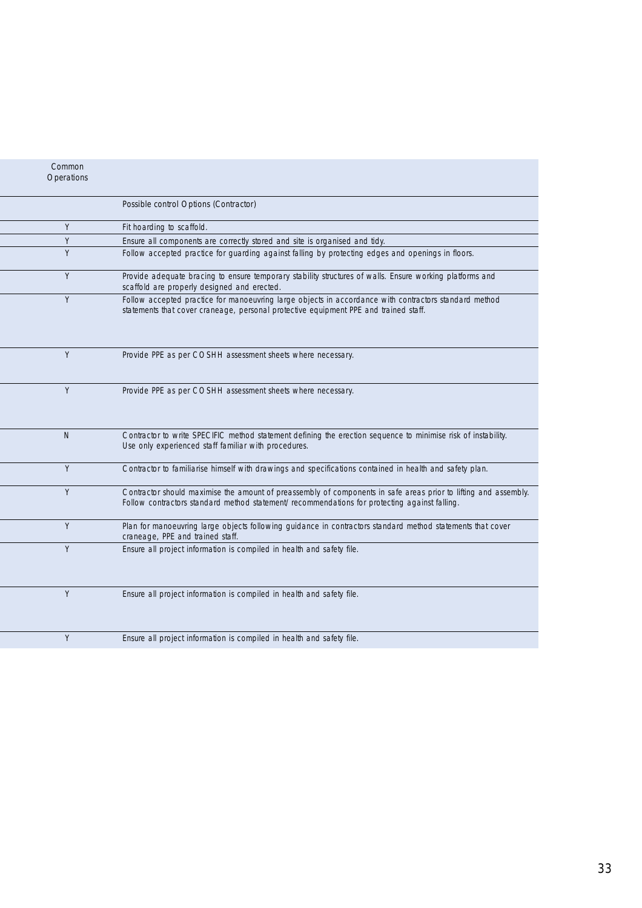| Common<br>Operations |                                                                                                                                                                                                                 |
|----------------------|-----------------------------------------------------------------------------------------------------------------------------------------------------------------------------------------------------------------|
|                      | Possible control Options (Contractor)                                                                                                                                                                           |
| Y                    | Fit hoarding to scaffold.                                                                                                                                                                                       |
| Y                    | Ensure all components are correctly stored and site is organised and tidy.                                                                                                                                      |
| Y                    | Follow accepted practice for quarding against falling by protecting edges and openings in floors.                                                                                                               |
| Y                    | Provide adequate bracing to ensure temporary stability structures of walls. Ensure working platforms and<br>scaffold are properly designed and erected.                                                         |
| Y                    | Follow accepted practice for manoeuvring large objects in accordance with contractors standard method<br>statements that cover craneage, personal protective equipment PPE and trained staff.                   |
| Y                    | Provide PPE as per COSHH assessment sheets where necessary.                                                                                                                                                     |
| Y                    | Provide PPE as per COSHH assessment sheets where necessary.                                                                                                                                                     |
| $\mathbb N$          | Contractor to write SPECIFIC method statement defining the erection sequence to minimise risk of instability.<br>Use only experienced staff familiar with procedures.                                           |
| Y                    | Contractor to familiarise himself with drawings and specifications contained in health and safety plan.                                                                                                         |
| Y                    | Contractor should maximise the amount of preassembly of components in safe areas prior to lifting and assembly.<br>Follow contractors standard method statement/recommendations for protecting against falling. |
| Y                    | Plan for manoeuvring large objects following guidance in contractors standard method statements that cover<br>craneage, PPE and trained staff.                                                                  |
| Y                    | Ensure all project information is compiled in health and safety file.                                                                                                                                           |
| Y                    | Ensure all project information is compiled in health and safety file.                                                                                                                                           |
| Y                    | Ensure all project information is compiled in health and safety file.                                                                                                                                           |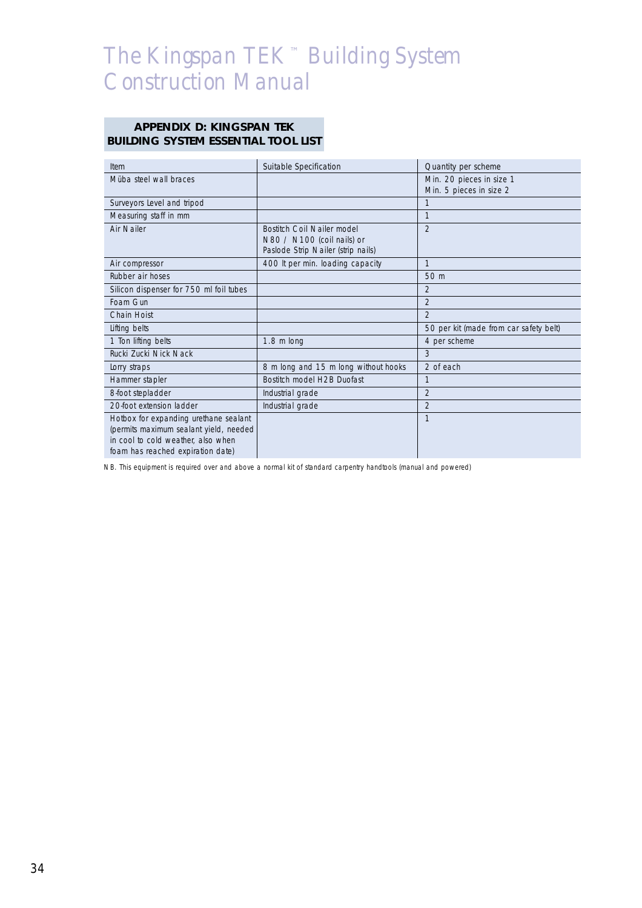## **APPENDIX D: KINGSPAN TEK BUILDING SYSTEM ESSENTIAL TOOL LIST**

| Item                                    | Suitable Specification               | Quantity per scheme                    |
|-----------------------------------------|--------------------------------------|----------------------------------------|
| Müba steel wall braces                  |                                      | Min. 20 pieces in size 1               |
|                                         |                                      | Min. 5 pieces in size 2                |
| Surveyors Level and tripod              |                                      | $\mathbf{1}$                           |
| Measuring staff in mm                   |                                      | $\mathbf{1}$                           |
| Air Nailer                              | Bostitch Coil Nailer model           | $\mathfrak{D}$                         |
|                                         | N80 $/$ N100 (coil nails) or         |                                        |
|                                         | Paslode Strip Nailer (strip nails)   |                                        |
| Air compressor                          | 400 It per min. loading capacity     | $\mathbf{1}$                           |
| Rubber air hoses                        |                                      | 50 m                                   |
| Silicon dispenser for 750 ml foil tubes |                                      | $\mathfrak{D}$                         |
| Foam Gun                                |                                      | $\mathfrak{D}$                         |
| Chain Hoist                             |                                      | $\mathfrak{D}$                         |
| Lifting belts                           |                                      | 50 per kit (made from car safety belt) |
| 1 Ton lifting belts                     | $1.8 \text{ m}$ long                 | 4 per scheme                           |
| Rucki Zucki Nick Nack                   |                                      | 3                                      |
| Lorry straps                            | 8 m long and 15 m long without hooks | 2 of each                              |
| Hammer stapler                          | Bostitch model H2B Duofast           | $\mathbf{1}$                           |
| 8-foot stepladder                       | Industrial grade                     | $\overline{2}$                         |
| 20-foot extension ladder                | Industrial grade                     | $\mathfrak{D}$                         |
| Hotbox for expanding urethane sealant   |                                      | $\mathbf{1}$                           |
| (permits maximum sealant yield, needed  |                                      |                                        |
| in cool to cold weather, also when      |                                      |                                        |
| foam has reached expiration date)       |                                      |                                        |

*NB. This equipment is required over and above a normal kit of standard carpentry handtools (manual and powered)*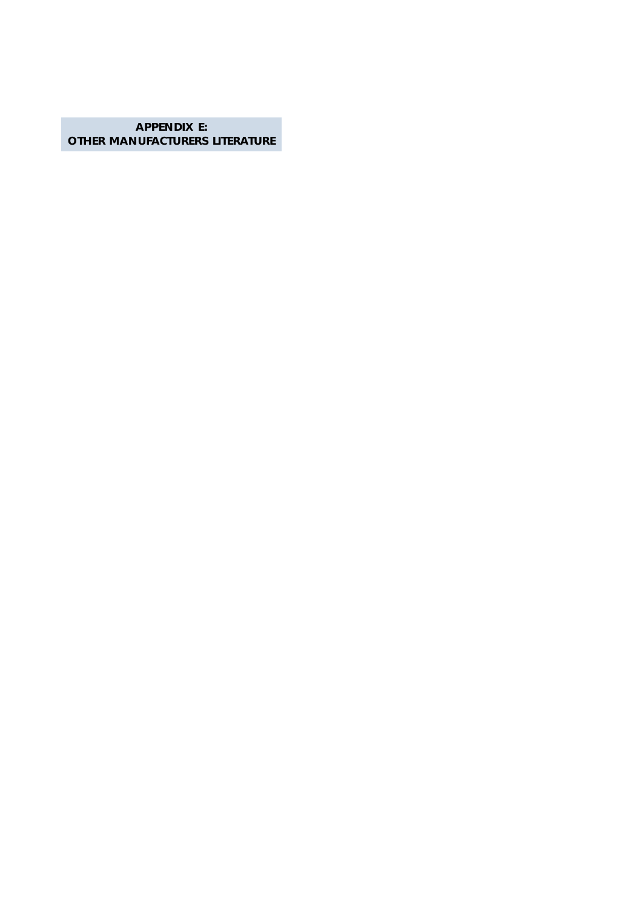**APPENDIX E: OTHER MANUFACTURERS LITERATURE**